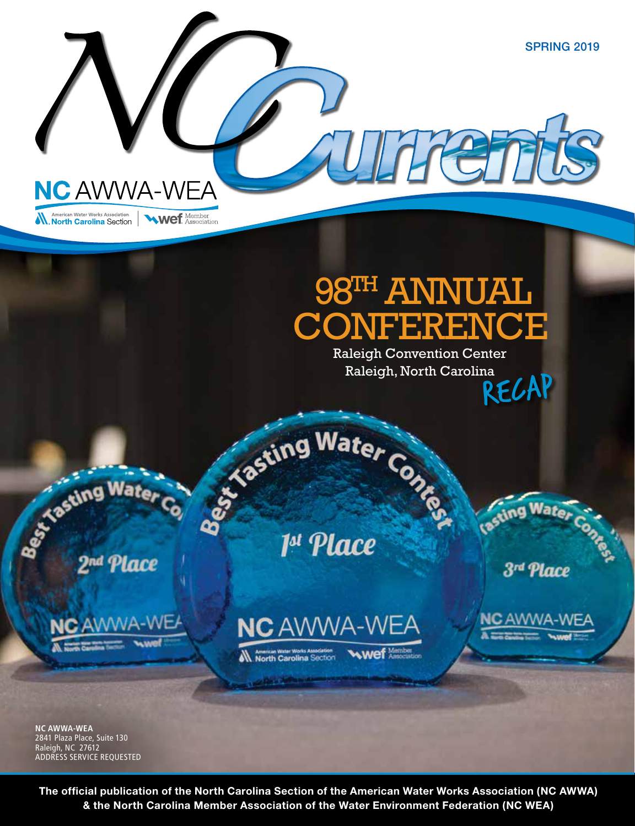

NC AWWA-WEA

**N.** American Water Works Association WWEF Member

## CONFERENCE 98TH ANNUAL

Raleigh Convention Center Raleigh, North Carolina<br>RECAP

Stasting Water Contract 1st Place

**NC AWWA-WEA** 

2<sup>nd</sup> Place

es King Water Co

**NC AWWA-WEA** 

AN American Water Works Association

3rd Place

**Wate** 

**Wef Member** 

**NC AWWA-WEA** 2841 Plaza Place, Suite 130 Raleigh, NC 27612 ADDRESS SERVICE REQUESTED

**The official publication of the North Carolina Section of the American Water Works Association (NC AWWA) & the North Carolina Member Association of the Water Environment Federation (NC WEA)**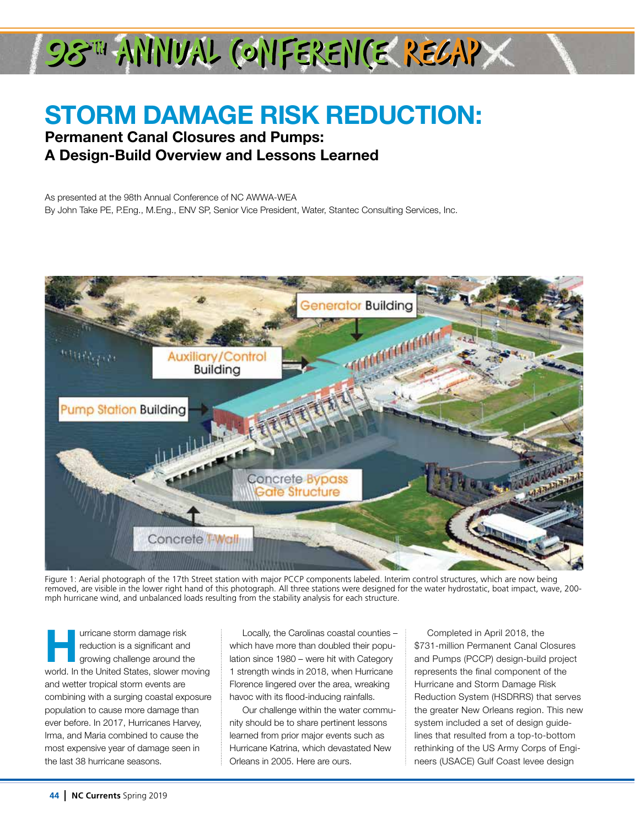# 93TH ANNIVAL CONFERENCE RECAP

### **STORM DAMAGE RISK REDUCTION:**

### **Permanent Canal Closures and Pumps: A Design-Build Overview and Lessons Learned**

As presented at the 98th Annual Conference of NC AWWA-WEA By John Take PE, P.Eng., M.Eng., ENV SP, Senior Vice President, Water, Stantec Consulting Services, Inc.



Figure 1: Aerial photograph of the 17th Street station with major PCCP components labeled. Interim control structures, which are now being removed, are visible in the lower right hand of this photograph. All three stations were designed for the water hydrostatic, boat impact, wave, 200 mph hurricane wind, and unbalanced loads resulting from the stability analysis for each structure.

**Hurricane storm damage risk**<br>
reduction is a significant and<br>
growing challenge around the reduction is a significant and world. In the United States, slower moving and wetter tropical storm events are combining with a surging coastal exposure population to cause more damage than ever before. In 2017, Hurricanes Harvey, Irma, and Maria combined to cause the most expensive year of damage seen in the last 38 hurricane seasons.

Locally, the Carolinas coastal counties – which have more than doubled their population since 1980 – were hit with Category 1 strength winds in 2018, when Hurricane Florence lingered over the area, wreaking havoc with its flood-inducing rainfalls.

Our challenge within the water community should be to share pertinent lessons learned from prior major events such as Hurricane Katrina, which devastated New Orleans in 2005. Here are ours.

Completed in April 2018, the \$731-million Permanent Canal Closures and Pumps (PCCP) design-build project represents the final component of the Hurricane and Storm Damage Risk Reduction System (HSDRRS) that serves the greater New Orleans region. This new system included a set of design guidelines that resulted from a top-to-bottom rethinking of the US Army Corps of Engineers (USACE) Gulf Coast levee design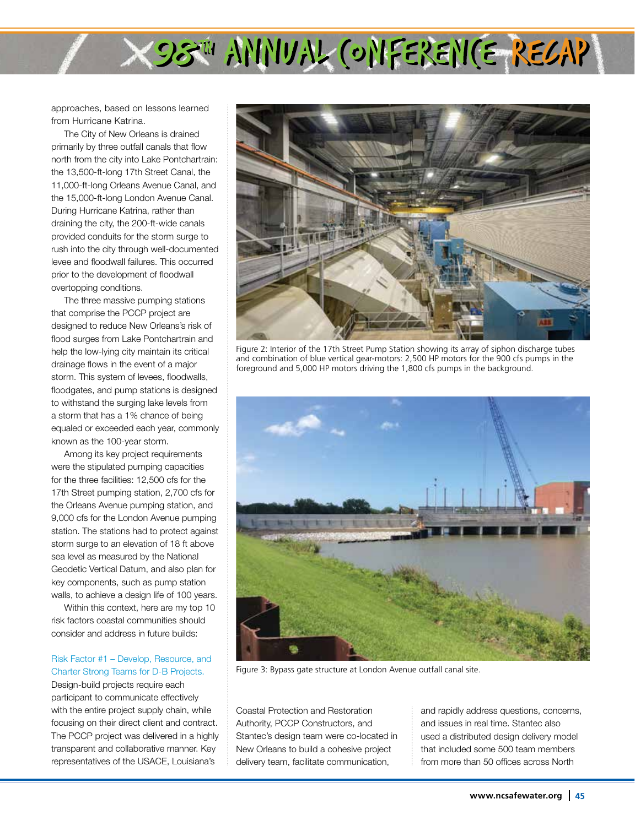### **SISTH ANNUAL CONFERENCE RECAP**

approaches, based on lessons learned from Hurricane Katrina.

The City of New Orleans is drained primarily by three outfall canals that flow north from the city into Lake Pontchartrain: the 13,500-ft-long 17th Street Canal, the 11,000-ft-long Orleans Avenue Canal, and the 15,000-ft-long London Avenue Canal. During Hurricane Katrina, rather than draining the city, the 200-ft-wide canals provided conduits for the storm surge to rush into the city through well-documented levee and floodwall failures. This occurred prior to the development of floodwall overtopping conditions.

The three massive pumping stations that comprise the PCCP project are designed to reduce New Orleans's risk of flood surges from Lake Pontchartrain and help the low-lying city maintain its critical drainage flows in the event of a major storm. This system of levees, floodwalls, floodgates, and pump stations is designed to withstand the surging lake levels from a storm that has a 1% chance of being equaled or exceeded each year, commonly known as the 100-year storm.

Among its key project requirements were the stipulated pumping capacities for the three facilities: 12,500 cfs for the 17th Street pumping station, 2,700 cfs for the Orleans Avenue pumping station, and 9,000 cfs for the London Avenue pumping station. The stations had to protect against storm surge to an elevation of 18 ft above sea level as measured by the National Geodetic Vertical Datum, and also plan for key components, such as pump station walls, to achieve a design life of 100 years.

Within this context, here are my top 10 risk factors coastal communities should consider and address in future builds:

Risk Factor #1 – Develop, Resource, and Charter Strong Teams for D-B Projects. Design-build projects require each participant to communicate effectively with the entire project supply chain, while focusing on their direct client and contract. The PCCP project was delivered in a highly transparent and collaborative manner. Key representatives of the USACE, Louisiana's



Figure 2: Interior of the 17th Street Pump Station showing its array of siphon discharge tubes and combination of blue vertical gear-motors: 2,500 HP motors for the 900 cfs pumps in the foreground and 5,000 HP motors driving the 1,800 cfs pumps in the background.



Figure 3: Bypass gate structure at London Avenue outfall canal site.

Coastal Protection and Restoration Authority, PCCP Constructors, and Stantec's design team were co-located in New Orleans to build a cohesive project delivery team, facilitate communication,

and rapidly address questions, concerns, and issues in real time. Stantec also used a distributed design delivery model that included some 500 team members from more than 50 offices across North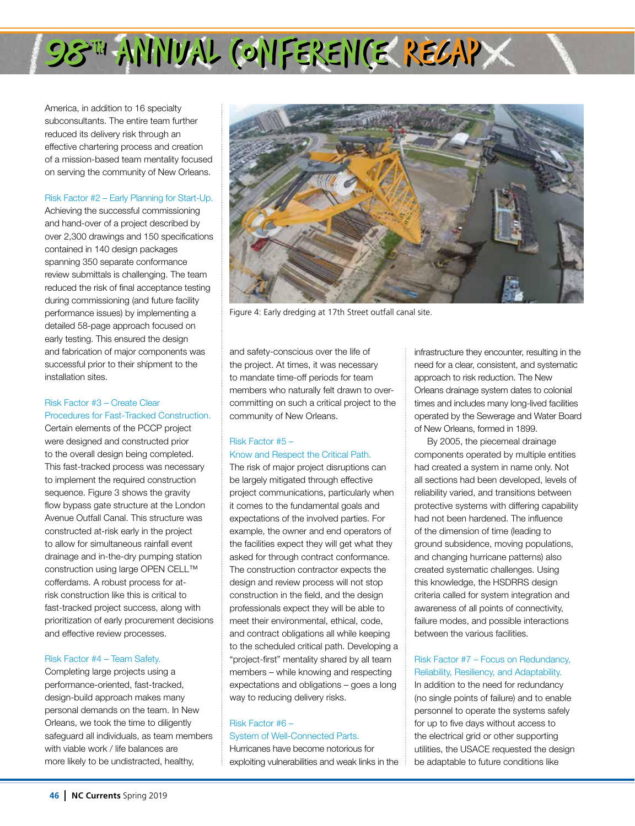SSTH HILLING (ONFERENCE RECAP)

America, in addition to 16 specialty subconsultants. The entire team further reduced its delivery risk through an effective chartering process and creation of a mission-based team mentality focused on serving the community of New Orleans.

#### Risk Factor #2 – Early Planning for Start-Up.

Achieving the successful commissioning and hand-over of a project described by over 2,300 drawings and 150 specifications contained in 140 design packages spanning 350 separate conformance review submittals is challenging. The team reduced the risk of final acceptance testing during commissioning (and future facility performance issues) by implementing a detailed 58-page approach focused on early testing. This ensured the design and fabrication of major components was successful prior to their shipment to the installation sites.

#### Risk Factor #3 – Create Clear Procedures for Fast-Tracked Construction.

Certain elements of the PCCP project were designed and constructed prior to the overall design being completed. This fast-tracked process was necessary to implement the required construction sequence. Figure 3 shows the gravity flow bypass gate structure at the London Avenue Outfall Canal. This structure was constructed at-risk early in the project to allow for simultaneous rainfall event drainage and in-the-dry pumping station construction using large OPEN CELL™ cofferdams. A robust process for atrisk construction like this is critical to fast-tracked project success, along with prioritization of early procurement decisions and effective review processes.

#### Risk Factor #4 – Team Safety.

Completing large projects using a performance-oriented, fast-tracked, design-build approach makes many personal demands on the team. In New Orleans, we took the time to diligently safeguard all individuals, as team members with viable work / life balances are more likely to be undistracted, healthy,



Figure 4: Early dredging at 17th Street outfall canal site.

and safety-conscious over the life of the project. At times, it was necessary to mandate time-off periods for team members who naturally felt drawn to overcommitting on such a critical project to the community of New Orleans.

#### Risk Factor #5 – Know and Respect the Critical Path.

The risk of major project disruptions can be largely mitigated through effective project communications, particularly when it comes to the fundamental goals and expectations of the involved parties. For example, the owner and end operators of the facilities expect they will get what they asked for through contract conformance. The construction contractor expects the design and review process will not stop construction in the field, and the design professionals expect they will be able to meet their environmental, ethical, code, and contract obligations all while keeping to the scheduled critical path. Developing a "project-first" mentality shared by all team members – while knowing and respecting expectations and obligations – goes a long way to reducing delivery risks.

#### Risk Factor #6 –

System of Well-Connected Parts. Hurricanes have become notorious for exploiting vulnerabilities and weak links in the infrastructure they encounter, resulting in the need for a clear, consistent, and systematic approach to risk reduction. The New Orleans drainage system dates to colonial times and includes many long-lived facilities operated by the Sewerage and Water Board of New Orleans, formed in 1899.

By 2005, the piecemeal drainage components operated by multiple entities had created a system in name only. Not all sections had been developed, levels of reliability varied, and transitions between protective systems with differing capability had not been hardened. The influence of the dimension of time (leading to ground subsidence, moving populations, and changing hurricane patterns) also created systematic challenges. Using this knowledge, the HSDRRS design criteria called for system integration and awareness of all points of connectivity, failure modes, and possible interactions between the various facilities.

#### Risk Factor #7 – Focus on Redundancy, Reliability, Resiliency, and Adaptability.

In addition to the need for redundancy (no single points of failure) and to enable personnel to operate the systems safely for up to five days without access to the electrical grid or other supporting utilities, the USACE requested the design be adaptable to future conditions like